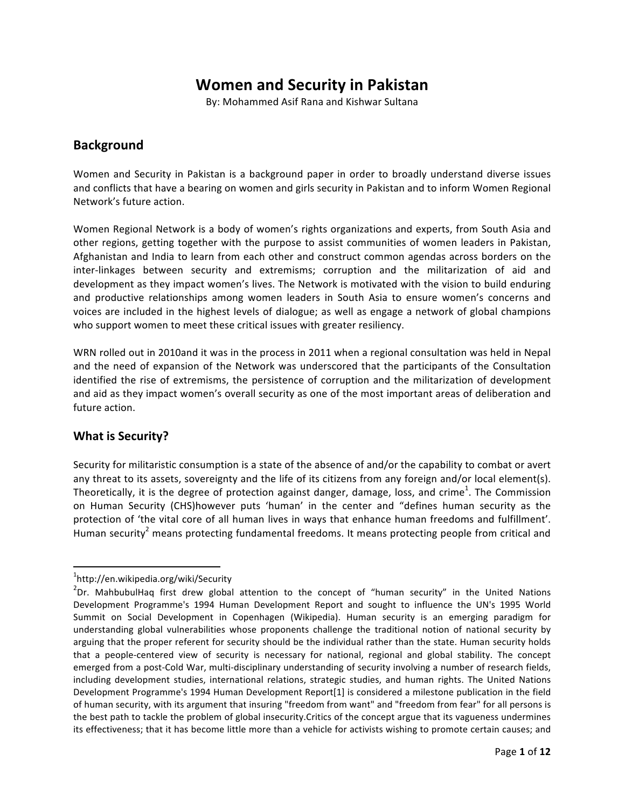# **Women and Security in Pakistan**

By: Mohammed Asif Rana and Kishwar Sultana

### **Background**

Women and Security in Pakistan is a background paper in order to broadly understand diverse issues and conflicts that have a bearing on women and girls security in Pakistan and to inform Women Regional Network's future action.

Women Regional Network is a body of women's rights organizations and experts, from South Asia and other regions, getting together with the purpose to assist communities of women leaders in Pakistan, Afghanistan and India to learn from each other and construct common agendas across borders on the inter-linkages between security and extremisms; corruption and the militarization of aid and development as they impact women's lives. The Network is motivated with the vision to build enduring and productive relationships among women leaders in South Asia to ensure women's concerns and voices are included in the highest levels of dialogue; as well as engage a network of global champions who support women to meet these critical issues with greater resiliency.

WRN rolled out in 2010and it was in the process in 2011 when a regional consultation was held in Nepal and the need of expansion of the Network was underscored that the participants of the Consultation identified the rise of extremisms, the persistence of corruption and the militarization of development and aid as they impact women's overall security as one of the most important areas of deliberation and future action.

#### **What is Security?**

Security for militaristic consumption is a state of the absence of and/or the capability to combat or avert any threat to its assets, sovereignty and the life of its citizens from any foreign and/or local element(s). Theoretically, it is the degree of protection against danger, damage, loss, and crime<sup>1</sup>. The Commission on Human Security (CHS)however puts 'human' in the center and "defines human security as the protection of 'the vital core of all human lives in ways that enhance human freedoms and fulfillment'. Human security<sup>2</sup> means protecting fundamental freedoms. It means protecting people from critical and

<sup>&</sup>lt;u> 1989 - Jan Samuel Barbara, margaret e</u> 1 http://en.wikipedia.org/wiki/Security

 $^{2}$ Dr. MahbubulHaq first drew global attention to the concept of "human security" in the United Nations Development Programme's 1994 Human Development Report and sought to influence the UN's 1995 World Summit on Social Development in Copenhagen (Wikipedia). Human security is an emerging paradigm for understanding global vulnerabilities whose proponents challenge the traditional notion of national security by arguing that the proper referent for security should be the individual rather than the state. Human security holds that a people-centered view of security is necessary for national, regional and global stability. The concept emerged from a post-Cold War, multi-disciplinary understanding of security involving a number of research fields, including development studies, international relations, strategic studies, and human rights. The United Nations Development Programme's 1994 Human Development Report[1] is considered a milestone publication in the field of human security, with its argument that insuring "freedom from want" and "freedom from fear" for all persons is the best path to tackle the problem of global insecurity.Critics of the concept argue that its vagueness undermines its effectiveness; that it has become little more than a vehicle for activists wishing to promote certain causes; and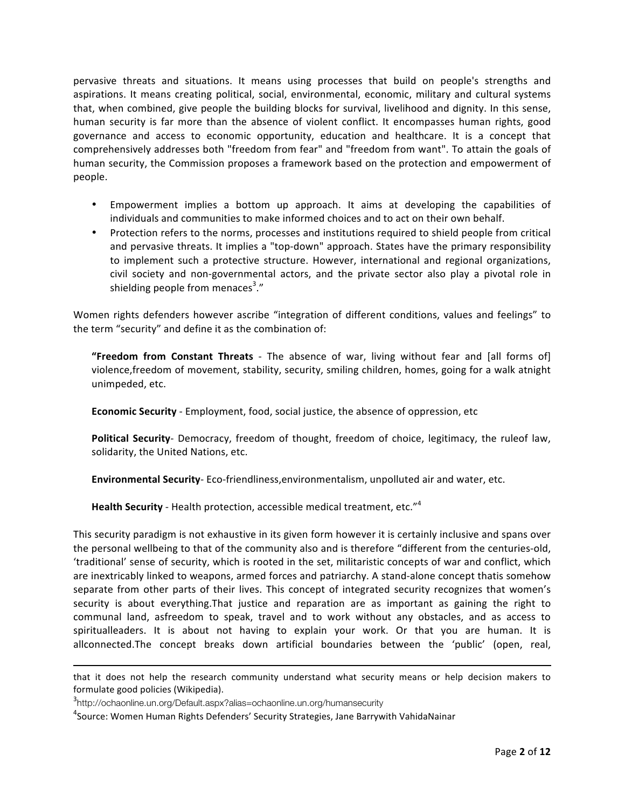pervasive threats and situations. It means using processes that build on people's strengths and aspirations. It means creating political, social, environmental, economic, military and cultural systems that, when combined, give people the building blocks for survival, livelihood and dignity. In this sense, human security is far more than the absence of violent conflict. It encompasses human rights, good governance and access to economic opportunity, education and healthcare. It is a concept that comprehensively addresses both "freedom from fear" and "freedom from want". To attain the goals of human security, the Commission proposes a framework based on the protection and empowerment of people. 

- Empowerment implies a bottom up approach. It aims at developing the capabilities of individuals and communities to make informed choices and to act on their own behalf.
- Protection refers to the norms, processes and institutions required to shield people from critical and pervasive threats. It implies a "top-down" approach. States have the primary responsibility to implement such a protective structure. However, international and regional organizations, civil society and non-governmental actors, and the private sector also play a pivotal role in shielding people from menaces<sup>3</sup>."

Women rights defenders however ascribe "integration of different conditions, values and feelings" to the term "security" and define it as the combination of:

**"Freedom from Constant Threats** - The absence of war, living without fear and [all forms of] violence,freedom of movement, stability, security, smiling children, homes, going for a walk atnight unimpeded, etc.

**Economic Security** - Employment, food, social justice, the absence of oppression, etc

**Political Security**- Democracy, freedom of thought, freedom of choice, legitimacy, the ruleof law, solidarity, the United Nations, etc.

**Environmental Security-** Eco-friendliness, environmentalism, unpolluted air and water, etc.

Health Security - Health protection, accessible medical treatment, etc."<sup>4</sup>

This security paradigm is not exhaustive in its given form however it is certainly inclusive and spans over the personal wellbeing to that of the community also and is therefore "different from the centuries-old, 'traditional' sense of security, which is rooted in the set, militaristic concepts of war and conflict, which are inextricably linked to weapons, armed forces and patriarchy. A stand-alone concept thatis somehow separate from other parts of their lives. This concept of integrated security recognizes that women's security is about everything. That justice and reparation are as important as gaining the right to communal land, asfreedom to speak, travel and to work without any obstacles, and as access to spiritualleaders. It is about not having to explain your work. Or that you are human. It is allconnected.The concept breaks down artificial boundaries between the 'public' (open, real,

<sup>&</sup>lt;u> 1989 - Andrea Santa Andrea Andrea Andrea Andrea Andrea Andrea Andrea Andrea Andrea Andrea Andrea Andrea Andr</u> that it does not help the research community understand what security means or help decision makers to formulate good policies (Wikipedia).

<sup>3&</sup>lt;br>http://ochaonline.un.org/Default.aspx?alias=ochaonline.un.org/humansecurity

 $^4$ Source: Women Human Rights Defenders' Security Strategies, Jane Barrywith VahidaNainar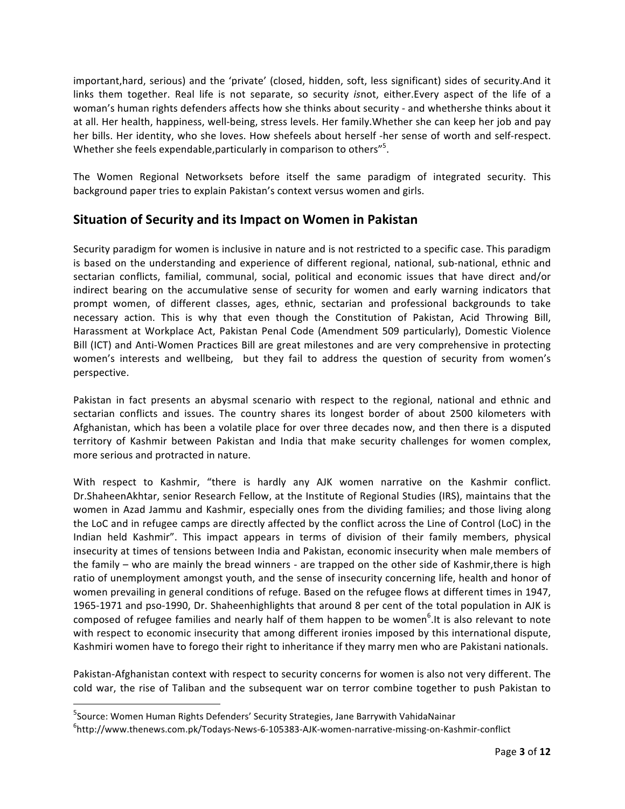important, hard, serious) and the 'private' (closed, hidden, soft, less significant) sides of security. And it links them together. Real life is not separate, so security *isnot*, either.Every aspect of the life of a woman's human rights defenders affects how she thinks about security - and whethershe thinks about it at all. Her health, happiness, well-being, stress levels. Her family. Whether she can keep her job and pay her bills. Her identity, who she loves. How shefeels about herself -her sense of worth and self-respect. Whether she feels expendable, particularly in comparison to others"<sup>5</sup>.

The Women Regional Networksets before itself the same paradigm of integrated security. This background paper tries to explain Pakistan's context versus women and girls.

#### **Situation of Security and its Impact on Women in Pakistan**

Security paradigm for women is inclusive in nature and is not restricted to a specific case. This paradigm is based on the understanding and experience of different regional, national, sub-national, ethnic and sectarian conflicts, familial, communal, social, political and economic issues that have direct and/or indirect bearing on the accumulative sense of security for women and early warning indicators that prompt women, of different classes, ages, ethnic, sectarian and professional backgrounds to take necessary action. This is why that even though the Constitution of Pakistan, Acid Throwing Bill, Harassment at Workplace Act, Pakistan Penal Code (Amendment 509 particularly), Domestic Violence Bill (ICT) and Anti-Women Practices Bill are great milestones and are very comprehensive in protecting women's interests and wellbeing, but they fail to address the question of security from women's perspective. 

Pakistan in fact presents an abysmal scenario with respect to the regional, national and ethnic and sectarian conflicts and issues. The country shares its longest border of about 2500 kilometers with Afghanistan, which has been a volatile place for over three decades now, and then there is a disputed territory of Kashmir between Pakistan and India that make security challenges for women complex, more serious and protracted in nature.

With respect to Kashmir, "there is hardly any AJK women narrative on the Kashmir conflict. Dr.ShaheenAkhtar, senior Research Fellow, at the Institute of Regional Studies (IRS), maintains that the women in Azad Jammu and Kashmir, especially ones from the dividing families; and those living along the LoC and in refugee camps are directly affected by the conflict across the Line of Control (LoC) in the Indian held Kashmir". This impact appears in terms of division of their family members, physical insecurity at times of tensions between India and Pakistan, economic insecurity when male members of the family  $-$  who are mainly the bread winners - are trapped on the other side of Kashmir, there is high ratio of unemployment amongst youth, and the sense of insecurity concerning life, health and honor of women prevailing in general conditions of refuge. Based on the refugee flows at different times in 1947, 1965-1971 and pso-1990, Dr. Shaheenhighlights that around 8 per cent of the total population in AJK is composed of refugee families and nearly half of them happen to be women<sup>6</sup>. It is also relevant to note with respect to economic insecurity that among different ironies imposed by this international dispute, Kashmiri women have to forego their right to inheritance if they marry men who are Pakistani nationals.

Pakistan-Afghanistan context with respect to security concerns for women is also not very different. The cold war, the rise of Taliban and the subsequent war on terror combine together to push Pakistan to

<sup>&</sup>lt;sup>5</sup>Source: Women Human Rights Defenders' Security Strategies, Jane Barrywith VahidaNainar

<sup>6</sup> http://www.thenews.com.pk/Todays-News-6-105383-AJK-women-narrative-missing-on-Kashmir-conflict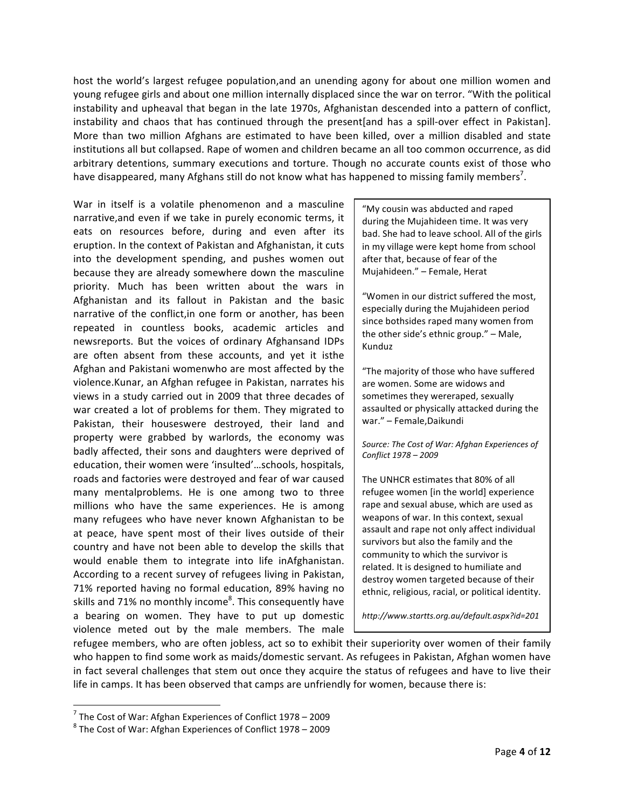host the world's largest refugee population,and an unending agony for about one million women and young refugee girls and about one million internally displaced since the war on terror. "With the political instability and upheaval that began in the late 1970s, Afghanistan descended into a pattern of conflict, instability and chaos that has continued through the present[and has a spill-over effect in Pakistan]. More than two million Afghans are estimated to have been killed, over a million disabled and state institutions all but collapsed. Rape of women and children became an all too common occurrence, as did arbitrary detentions, summary executions and torture. Though no accurate counts exist of those who have disappeared, many Afghans still do not know what has happened to missing family members<sup>7</sup>.

War in itself is a volatile phenomenon and a masculine narrative, and even if we take in purely economic terms, it eats on resources before, during and even after its eruption. In the context of Pakistan and Afghanistan, it cuts into the development spending, and pushes women out because they are already somewhere down the masculine priority. Much has been written about the wars in Afghanistan and its fallout in Pakistan and the basic narrative of the conflict, in one form or another, has been repeated in countless books, academic articles and newsreports. But the voices of ordinary Afghansand IDPs are often absent from these accounts, and yet it isthe Afghan and Pakistani womenwho are most affected by the violence.Kunar, an Afghan refugee in Pakistan, narrates his views in a study carried out in 2009 that three decades of war created a lot of problems for them. They migrated to Pakistan, their houseswere destroyed, their land and property were grabbed by warlords, the economy was badly affected, their sons and daughters were deprived of education, their women were 'insulted'...schools, hospitals, roads and factories were destroyed and fear of war caused many mentalproblems. He is one among two to three millions who have the same experiences. He is among many refugees who have never known Afghanistan to be at peace, have spent most of their lives outside of their country and have not been able to develop the skills that would enable them to integrate into life inAfghanistan. According to a recent survey of refugees living in Pakistan, 71% reported having no formal education, 89% having no skills and 71% no monthly income<sup>8</sup>. This consequently have a bearing on women. They have to put up domestic violence meted out by the male members. The male

"My cousin was abducted and raped during the Mujahideen time. It was very bad. She had to leave school. All of the girls in my village were kept home from school after that, because of fear of the Mujahideen." - Female, Herat

"Women in our district suffered the most, especially during the Mujahideen period since bothsides raped many women from the other side's ethnic group."  $-$  Male, Kunduz

"The majority of those who have suffered are women. Some are widows and sometimes they wereraped, sexually assaulted or physically attacked during the war." - Female, Daikundi

Source: The Cost of War: Afghan Experiences of *Conflict 1978 – 2009*

The UNHCR estimates that 80% of all refugee women [in the world] experience rape and sexual abuse, which are used as weapons of war. In this context, sexual assault and rape not only affect individual survivors but also the family and the community to which the survivor is related. It is designed to humiliate and destroy women targeted because of their ethnic, religious, racial, or political identity.

*http://www.startts.org.au/default.aspx?id=201*

refugee members, who are often jobless, act so to exhibit their superiority over women of their family who happen to find some work as maids/domestic servant. As refugees in Pakistan, Afghan women have in fact several challenges that stem out once they acquire the status of refugees and have to live their life in camps. It has been observed that camps are unfriendly for women, because there is:

 $^7$  The Cost of War: Afghan Experiences of Conflict 1978 – 2009  $^8$  The Cost of War: Afghan Experiences of Conflict 1978 – 2009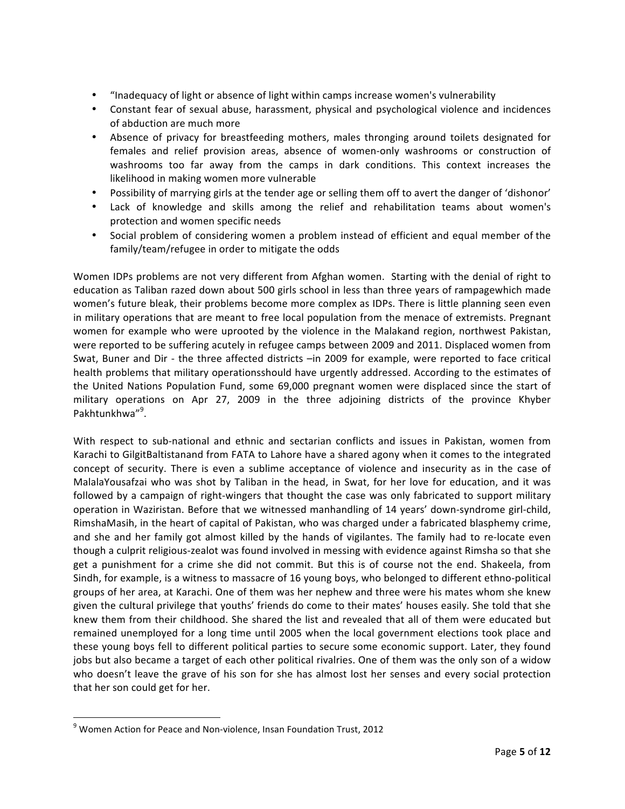- "Inadequacy of light or absence of light within camps increase women's vulnerability
- Constant fear of sexual abuse, harassment, physical and psychological violence and incidences of abduction are much more
- Absence of privacy for breastfeeding mothers, males thronging around toilets designated for females and relief provision areas, absence of women-only washrooms or construction of washrooms too far away from the camps in dark conditions. This context increases the likelihood in making women more vulnerable
- Possibility of marrying girls at the tender age or selling them off to avert the danger of 'dishonor'
- Lack of knowledge and skills among the relief and rehabilitation teams about women's protection and women specific needs
- Social problem of considering women a problem instead of efficient and equal member of the family/team/refugee in order to mitigate the odds

Women IDPs problems are not very different from Afghan women. Starting with the denial of right to education as Taliban razed down about 500 girls school in less than three years of rampagewhich made women's future bleak, their problems become more complex as IDPs. There is little planning seen even in military operations that are meant to free local population from the menace of extremists. Pregnant women for example who were uprooted by the violence in the Malakand region, northwest Pakistan, were reported to be suffering acutely in refugee camps between 2009 and 2011. Displaced women from Swat, Buner and Dir - the three affected districts -in 2009 for example, were reported to face critical health problems that military operationsshould have urgently addressed. According to the estimates of the United Nations Population Fund, some 69,000 pregnant women were displaced since the start of military operations on Apr 27, 2009 in the three adjoining districts of the province Khyber Pakhtunkhwa"9.

With respect to sub-national and ethnic and sectarian conflicts and issues in Pakistan, women from Karachi to GilgitBaltistanand from FATA to Lahore have a shared agony when it comes to the integrated concept of security. There is even a sublime acceptance of violence and insecurity as in the case of MalalaYousafzai who was shot by Taliban in the head, in Swat, for her love for education, and it was followed by a campaign of right-wingers that thought the case was only fabricated to support military operation in Waziristan. Before that we witnessed manhandling of 14 years' down-syndrome girl-child, RimshaMasih, in the heart of capital of Pakistan, who was charged under a fabricated blasphemy crime, and she and her family got almost killed by the hands of vigilantes. The family had to re-locate even though a culprit religious-zealot was found involved in messing with evidence against Rimsha so that she get a punishment for a crime she did not commit. But this is of course not the end. Shakeela, from Sindh, for example, is a witness to massacre of 16 young boys, who belonged to different ethno-political groups of her area, at Karachi. One of them was her nephew and three were his mates whom she knew given the cultural privilege that youths' friends do come to their mates' houses easily. She told that she knew them from their childhood. She shared the list and revealed that all of them were educated but remained unemployed for a long time until 2005 when the local government elections took place and these young boys fell to different political parties to secure some economic support. Later, they found jobs but also became a target of each other political rivalries. One of them was the only son of a widow who doesn't leave the grave of his son for she has almost lost her senses and every social protection that her son could get for her.

 $9$  Women Action for Peace and Non-violence, Insan Foundation Trust, 2012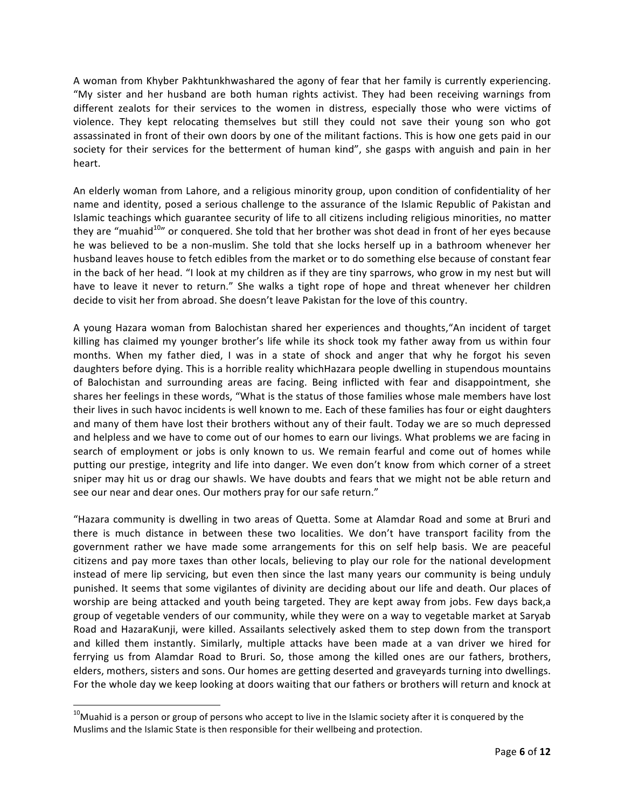A woman from Khyber Pakhtunkhwashared the agony of fear that her family is currently experiencing. "My sister and her husband are both human rights activist. They had been receiving warnings from different zealots for their services to the women in distress, especially those who were victims of violence. They kept relocating themselves but still they could not save their young son who got assassinated in front of their own doors by one of the militant factions. This is how one gets paid in our society for their services for the betterment of human kind", she gasps with anguish and pain in her heart. 

An elderly woman from Lahore, and a religious minority group, upon condition of confidentiality of her name and identity, posed a serious challenge to the assurance of the Islamic Republic of Pakistan and Islamic teachings which guarantee security of life to all citizens including religious minorities, no matter they are "muahid $10$ " or conquered. She told that her brother was shot dead in front of her eyes because he was believed to be a non-muslim. She told that she locks herself up in a bathroom whenever her husband leaves house to fetch edibles from the market or to do something else because of constant fear in the back of her head. "I look at my children as if they are tiny sparrows, who grow in my nest but will have to leave it never to return." She walks a tight rope of hope and threat whenever her children decide to visit her from abroad. She doesn't leave Pakistan for the love of this country.

A young Hazara woman from Balochistan shared her experiences and thoughts,"An incident of target killing has claimed my younger brother's life while its shock took my father away from us within four months. When my father died, I was in a state of shock and anger that why he forgot his seven daughters before dying. This is a horrible reality whichHazara people dwelling in stupendous mountains of Balochistan and surrounding areas are facing. Being inflicted with fear and disappointment, she shares her feelings in these words, "What is the status of those families whose male members have lost their lives in such havoc incidents is well known to me. Each of these families has four or eight daughters and many of them have lost their brothers without any of their fault. Today we are so much depressed and helpless and we have to come out of our homes to earn our livings. What problems we are facing in search of employment or jobs is only known to us. We remain fearful and come out of homes while putting our prestige, integrity and life into danger. We even don't know from which corner of a street sniper may hit us or drag our shawls. We have doubts and fears that we might not be able return and see our near and dear ones. Our mothers pray for our safe return."

"Hazara community is dwelling in two areas of Quetta. Some at Alamdar Road and some at Bruri and there is much distance in between these two localities. We don't have transport facility from the government rather we have made some arrangements for this on self help basis. We are peaceful citizens and pay more taxes than other locals, believing to play our role for the national development instead of mere lip servicing, but even then since the last many years our community is being unduly punished. It seems that some vigilantes of divinity are deciding about our life and death. Our places of worship are being attacked and youth being targeted. They are kept away from jobs. Few days back,a group of vegetable venders of our community, while they were on a way to vegetable market at Saryab Road and HazaraKunji, were killed. Assailants selectively asked them to step down from the transport and killed them instantly. Similarly, multiple attacks have been made at a van driver we hired for ferrying us from Alamdar Road to Bruri. So, those among the killed ones are our fathers, brothers, elders, mothers, sisters and sons. Our homes are getting deserted and graveyards turning into dwellings. For the whole day we keep looking at doors waiting that our fathers or brothers will return and knock at

 $10$ Muahid is a person or group of persons who accept to live in the Islamic society after it is conquered by the Muslims and the Islamic State is then responsible for their wellbeing and protection.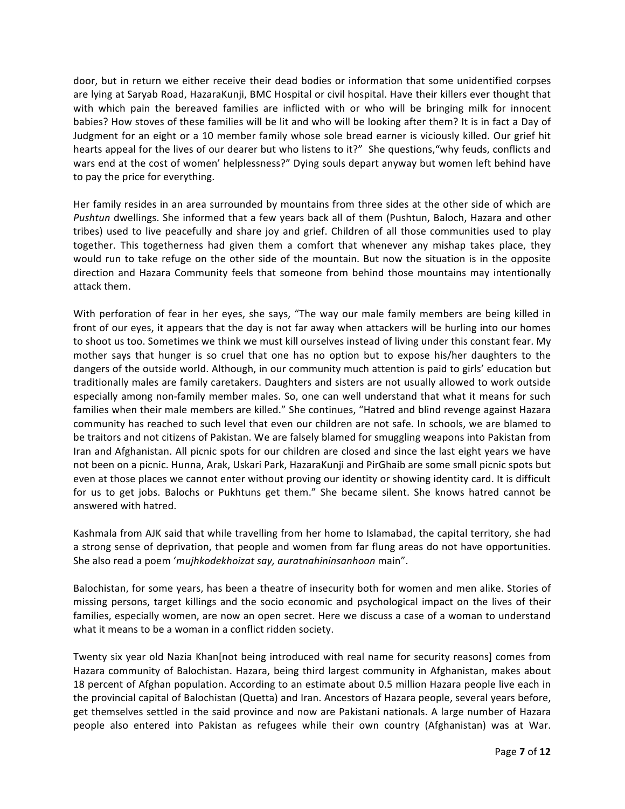door, but in return we either receive their dead bodies or information that some unidentified corpses are lying at Saryab Road, HazaraKunji, BMC Hospital or civil hospital. Have their killers ever thought that with which pain the bereaved families are inflicted with or who will be bringing milk for innocent babies? How stoves of these families will be lit and who will be looking after them? It is in fact a Day of Judgment for an eight or a 10 member family whose sole bread earner is viciously killed. Our grief hit hearts appeal for the lives of our dearer but who listens to it?" She questions, "why feuds, conflicts and wars end at the cost of women' helplessness?" Dying souls depart anyway but women left behind have to pay the price for everything.

Her family resides in an area surrounded by mountains from three sides at the other side of which are *Pushtun* dwellings. She informed that a few years back all of them (Pushtun, Baloch, Hazara and other tribes) used to live peacefully and share joy and grief. Children of all those communities used to play together. This togetherness had given them a comfort that whenever any mishap takes place, they would run to take refuge on the other side of the mountain. But now the situation is in the opposite direction and Hazara Community feels that someone from behind those mountains may intentionally attack them.

With perforation of fear in her eyes, she says, "The way our male family members are being killed in front of our eyes, it appears that the day is not far away when attackers will be hurling into our homes to shoot us too. Sometimes we think we must kill ourselves instead of living under this constant fear. My mother says that hunger is so cruel that one has no option but to expose his/her daughters to the dangers of the outside world. Although, in our community much attention is paid to girls' education but traditionally males are family caretakers. Daughters and sisters are not usually allowed to work outside especially among non-family member males. So, one can well understand that what it means for such families when their male members are killed." She continues, "Hatred and blind revenge against Hazara community has reached to such level that even our children are not safe. In schools, we are blamed to be traitors and not citizens of Pakistan. We are falsely blamed for smuggling weapons into Pakistan from Iran and Afghanistan. All picnic spots for our children are closed and since the last eight years we have not been on a picnic. Hunna, Arak, Uskari Park, HazaraKunji and PirGhaib are some small picnic spots but even at those places we cannot enter without proving our identity or showing identity card. It is difficult for us to get jobs. Balochs or Pukhtuns get them." She became silent. She knows hatred cannot be answered with hatred.

Kashmala from AJK said that while travelling from her home to Islamabad, the capital territory, she had a strong sense of deprivation, that people and women from far flung areas do not have opportunities. She also read a poem 'mujhkodekhoizat say, auratnahininsanhoon main".

Balochistan, for some years, has been a theatre of insecurity both for women and men alike. Stories of missing persons, target killings and the socio economic and psychological impact on the lives of their families, especially women, are now an open secret. Here we discuss a case of a woman to understand what it means to be a woman in a conflict ridden society.

Twenty six year old Nazia Khan[not being introduced with real name for security reasons] comes from Hazara community of Balochistan. Hazara, being third largest community in Afghanistan, makes about 18 percent of Afghan population. According to an estimate about 0.5 million Hazara people live each in the provincial capital of Balochistan (Quetta) and Iran. Ancestors of Hazara people, several years before, get themselves settled in the said province and now are Pakistani nationals. A large number of Hazara people also entered into Pakistan as refugees while their own country (Afghanistan) was at War.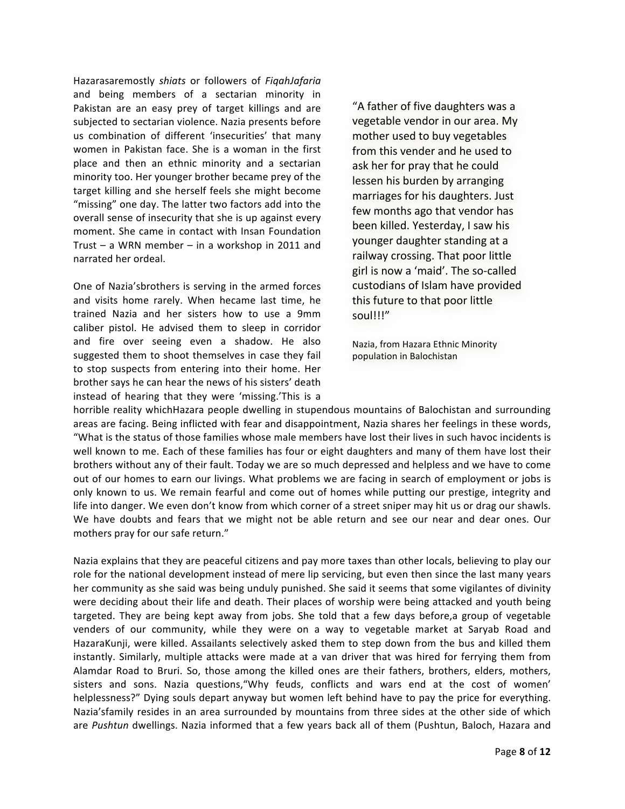Hazarasaremostly *shiats* or followers of *FiqahJafaria* and being members of a sectarian minority in Pakistan are an easy prey of target killings and are subjected to sectarian violence. Nazia presents before us combination of different 'insecurities' that many women in Pakistan face. She is a woman in the first place and then an ethnic minority and a sectarian minority too. Her younger brother became prey of the target killing and she herself feels she might become "missing" one day. The latter two factors add into the overall sense of insecurity that she is up against every moment. She came in contact with Insan Foundation Trust – a WRN member – in a workshop in 2011 and narrated her ordeal.

One of Nazia'sbrothers is serving in the armed forces and visits home rarely. When hecame last time, he trained Nazia and her sisters how to use a 9mm caliber pistol. He advised them to sleep in corridor and fire over seeing even a shadow. He also suggested them to shoot themselves in case they fail to stop suspects from entering into their home. Her brother says he can hear the news of his sisters' death instead of hearing that they were 'missing.'This is a

"A father of five daughters was a vegetable vendor in our area. My mother used to buy vegetables from this vender and he used to ask her for pray that he could lessen his burden by arranging marriages for his daughters. Just few months ago that vendor has been killed. Yesterday, I saw his younger daughter standing at a railway crossing. That poor little girl is now a 'maid'. The so-called custodians of Islam have provided this future to that poor little soul!!!"

Nazia, from Hazara Ethnic Minority population in Balochistan

horrible reality whichHazara people dwelling in stupendous mountains of Balochistan and surrounding areas are facing. Being inflicted with fear and disappointment, Nazia shares her feelings in these words, "What is the status of those families whose male members have lost their lives in such havoc incidents is well known to me. Each of these families has four or eight daughters and many of them have lost their brothers without any of their fault. Today we are so much depressed and helpless and we have to come out of our homes to earn our livings. What problems we are facing in search of employment or jobs is only known to us. We remain fearful and come out of homes while putting our prestige, integrity and life into danger. We even don't know from which corner of a street sniper may hit us or drag our shawls. We have doubts and fears that we might not be able return and see our near and dear ones. Our mothers pray for our safe return."

Nazia explains that they are peaceful citizens and pay more taxes than other locals, believing to play our role for the national development instead of mere lip servicing, but even then since the last many years her community as she said was being unduly punished. She said it seems that some vigilantes of divinity were deciding about their life and death. Their places of worship were being attacked and youth being targeted. They are being kept away from jobs. She told that a few days before, a group of vegetable venders of our community, while they were on a way to vegetable market at Saryab Road and HazaraKunji, were killed. Assailants selectively asked them to step down from the bus and killed them instantly. Similarly, multiple attacks were made at a van driver that was hired for ferrying them from Alamdar Road to Bruri. So, those among the killed ones are their fathers, brothers, elders, mothers, sisters and sons. Nazia questions,"Why feuds, conflicts and wars end at the cost of women' helplessness?" Dying souls depart anyway but women left behind have to pay the price for everything. Nazia'sfamily resides in an area surrounded by mountains from three sides at the other side of which are *Pushtun* dwellings. Nazia informed that a few years back all of them (Pushtun, Baloch, Hazara and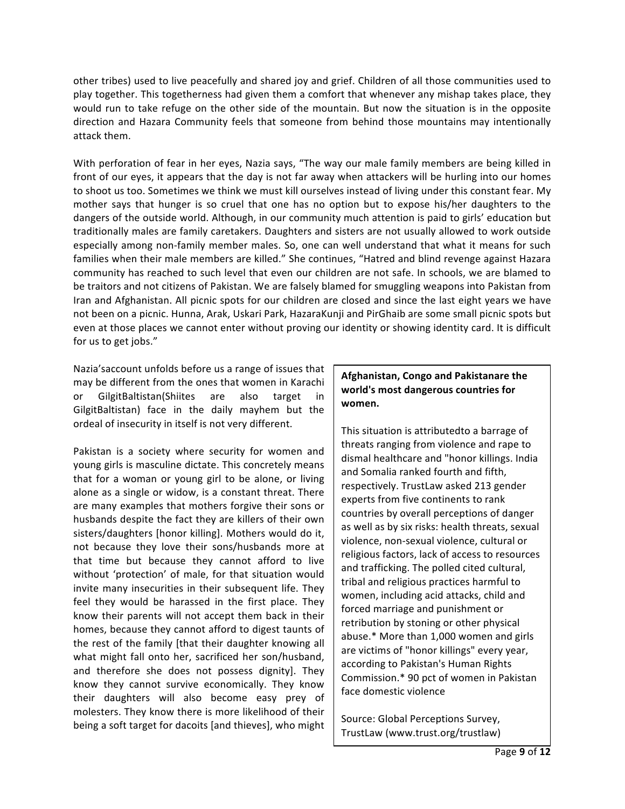other tribes) used to live peacefully and shared joy and grief. Children of all those communities used to play together. This togetherness had given them a comfort that whenever any mishap takes place, they would run to take refuge on the other side of the mountain. But now the situation is in the opposite direction and Hazara Community feels that someone from behind those mountains may intentionally attack them.

With perforation of fear in her eyes, Nazia says, "The way our male family members are being killed in front of our eyes, it appears that the day is not far away when attackers will be hurling into our homes to shoot us too. Sometimes we think we must kill ourselves instead of living under this constant fear. My mother says that hunger is so cruel that one has no option but to expose his/her daughters to the dangers of the outside world. Although, in our community much attention is paid to girls' education but traditionally males are family caretakers. Daughters and sisters are not usually allowed to work outside especially among non-family member males. So, one can well understand that what it means for such families when their male members are killed." She continues, "Hatred and blind revenge against Hazara community has reached to such level that even our children are not safe. In schools, we are blamed to be traitors and not citizens of Pakistan. We are falsely blamed for smuggling weapons into Pakistan from Iran and Afghanistan. All picnic spots for our children are closed and since the last eight years we have not been on a picnic. Hunna, Arak, Uskari Park, HazaraKunji and PirGhaib are some small picnic spots but even at those places we cannot enter without proving our identity or showing identity card. It is difficult for us to get jobs."

Nazia's account unfolds before us a range of issues that may be different from the ones that women in Karachi or GilgitBaltistan(Shiites are also target in GilgitBaltistan) face in the daily mayhem but the ordeal of insecurity in itself is not very different.

Pakistan is a society where security for women and young girls is masculine dictate. This concretely means that for a woman or young girl to be alone, or living alone as a single or widow, is a constant threat. There are many examples that mothers forgive their sons or husbands despite the fact they are killers of their own sisters/daughters [honor killing]. Mothers would do it, not because they love their sons/husbands more at that time but because they cannot afford to live without 'protection' of male, for that situation would invite many insecurities in their subsequent life. They feel they would be harassed in the first place. They know their parents will not accept them back in their homes, because they cannot afford to digest taunts of the rest of the family [that their daughter knowing all what might fall onto her, sacrificed her son/husband, and therefore she does not possess dignity]. They know they cannot survive economically. They know their daughters will also become easy prey of molesters. They know there is more likelihood of their being a soft target for dacoits [and thieves], who might

#### **Afghanistan, Congo and Pakistanare the** world's most dangerous countries for **women.**

This situation is attributedto a barrage of threats ranging from violence and rape to dismal healthcare and "honor killings. India and Somalia ranked fourth and fifth, respectively. TrustLaw asked 213 gender experts from five continents to rank countries by overall perceptions of danger as well as by six risks: health threats, sexual violence, non-sexual violence, cultural or religious factors, lack of access to resources and trafficking. The polled cited cultural, tribal and religious practices harmful to women, including acid attacks, child and forced marriage and punishment or retribution by stoning or other physical abuse.\* More than 1,000 women and girls are victims of "honor killings" every year, according to Pakistan's Human Rights Commission.\* 90 pct of women in Pakistan face domestic violence

Source: Global Perceptions Survey, TrustLaw (www.trust.org/trustlaw)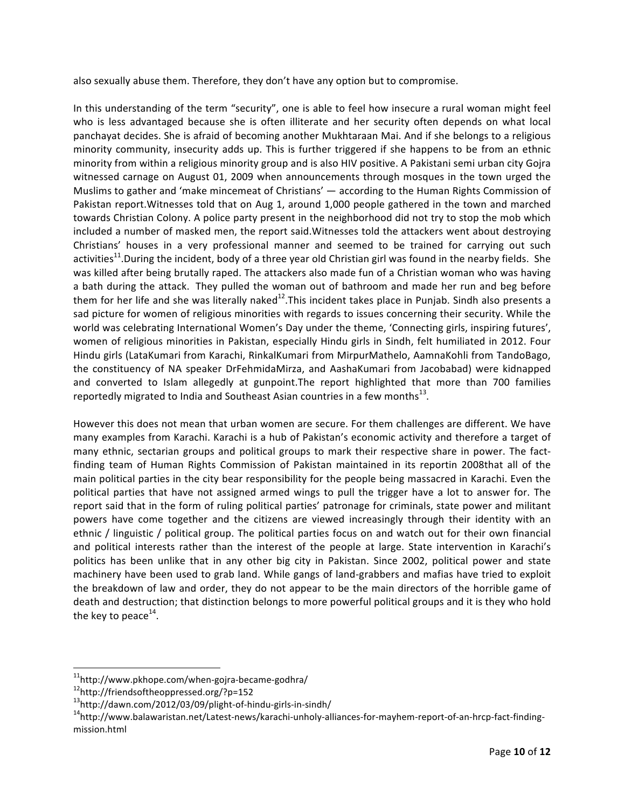also sexually abuse them. Therefore, they don't have any option but to compromise.

In this understanding of the term "security", one is able to feel how insecure a rural woman might feel who is less advantaged because she is often illiterate and her security often depends on what local panchayat decides. She is afraid of becoming another Mukhtaraan Mai. And if she belongs to a religious minority community, insecurity adds up. This is further triggered if she happens to be from an ethnic minority from within a religious minority group and is also HIV positive. A Pakistani semi urban city Gojra witnessed carnage on August 01, 2009 when announcements through mosques in the town urged the Muslims to gather and 'make mincemeat of Christians'  $-$  according to the Human Rights Commission of Pakistan report. Witnesses told that on Aug 1, around 1,000 people gathered in the town and marched towards Christian Colony. A police party present in the neighborhood did not try to stop the mob which included a number of masked men, the report said. Witnesses told the attackers went about destroying Christians' houses in a very professional manner and seemed to be trained for carrying out such activities<sup>11</sup>.During the incident, body of a three year old Christian girl was found in the nearby fields. She was killed after being brutally raped. The attackers also made fun of a Christian woman who was having a bath during the attack. They pulled the woman out of bathroom and made her run and beg before them for her life and she was literally naked<sup>12</sup>. This incident takes place in Punjab. Sindh also presents a sad picture for women of religious minorities with regards to issues concerning their security. While the world was celebrating International Women's Day under the theme, 'Connecting girls, inspiring futures', women of religious minorities in Pakistan, especially Hindu girls in Sindh, felt humiliated in 2012. Four Hindu girls (LataKumari from Karachi, RinkalKumari from MirpurMathelo, AamnaKohli from TandoBago, the constituency of NA speaker DrFehmidaMirza, and AashaKumari from Jacobabad) were kidnapped and converted to Islam allegedly at gunpoint. The report highlighted that more than 700 families reportedly migrated to India and Southeast Asian countries in a few months $^{13}$ .

However this does not mean that urban women are secure. For them challenges are different. We have many examples from Karachi. Karachi is a hub of Pakistan's economic activity and therefore a target of many ethnic, sectarian groups and political groups to mark their respective share in power. The factfinding team of Human Rights Commission of Pakistan maintained in its reportin 2008that all of the main political parties in the city bear responsibility for the people being massacred in Karachi. Even the political parties that have not assigned armed wings to pull the trigger have a lot to answer for. The report said that in the form of ruling political parties' patronage for criminals, state power and militant powers have come together and the citizens are viewed increasingly through their identity with an ethnic / linguistic / political group. The political parties focus on and watch out for their own financial and political interests rather than the interest of the people at large. State intervention in Karachi's politics has been unlike that in any other big city in Pakistan. Since 2002, political power and state machinery have been used to grab land. While gangs of land-grabbers and mafias have tried to exploit the breakdown of law and order, they do not appear to be the main directors of the horrible game of death and destruction; that distinction belongs to more powerful political groups and it is they who hold the key to peace $^{14}$ .

<sup>&</sup>lt;sup>11</sup>http://www.pkhope.com/when-gojra-became-godhra/<br><sup>12</sup>http://friendsoftheoppressed.org/?p=152<br><sup>13</sup>http://dawn.com/2012/03/09/plight-of-hindu-girls-in-sindh/

<sup>&</sup>lt;sup>14</sup>http://www.balawaristan.net/Latest-news/karachi-unholy-alliances-for-mayhem-report-of-an-hrcp-fact-findingmission html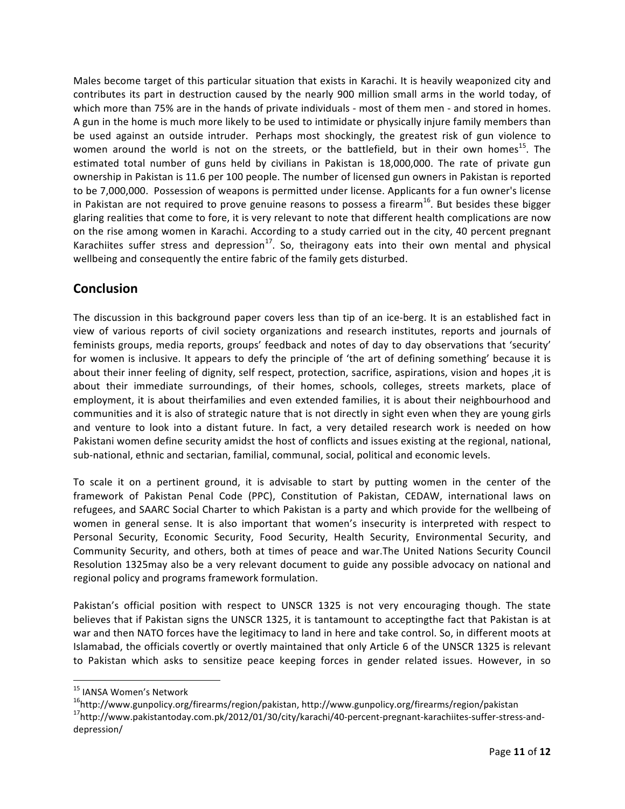Males become target of this particular situation that exists in Karachi. It is heavily weaponized city and contributes its part in destruction caused by the nearly 900 million small arms in the world today, of which more than 75% are in the hands of private individuals - most of them men - and stored in homes. A gun in the home is much more likely to be used to intimidate or physically injure family members than be used against an outside intruder. Perhaps most shockingly, the greatest risk of gun violence to women around the world is not on the streets, or the battlefield, but in their own homes<sup>15</sup>. The estimated total number of guns held by civilians in Pakistan is 18,000,000. The rate of private gun ownership in Pakistan is 11.6 per 100 people. The number of licensed gun owners in Pakistan is reported to be 7,000,000. Possession of weapons is permitted under license. Applicants for a fun owner's license in Pakistan are not required to prove genuine reasons to possess a firearm<sup>16</sup>. But besides these bigger glaring realities that come to fore, it is very relevant to note that different health complications are now on the rise among women in Karachi. According to a study carried out in the city, 40 percent pregnant Karachiites suffer stress and depression<sup>17</sup>. So, theiragony eats into their own mental and physical wellbeing and consequently the entire fabric of the family gets disturbed.

## **Conclusion**

The discussion in this background paper covers less than tip of an ice-berg. It is an established fact in view of various reports of civil society organizations and research institutes, reports and journals of feminists groups, media reports, groups' feedback and notes of day to day observations that 'security' for women is inclusive. It appears to defy the principle of 'the art of defining something' because it is about their inner feeling of dignity, self respect, protection, sacrifice, aspirations, vision and hopes , it is about their immediate surroundings, of their homes, schools, colleges, streets markets, place of employment, it is about theirfamilies and even extended families, it is about their neighbourhood and communities and it is also of strategic nature that is not directly in sight even when they are young girls and venture to look into a distant future. In fact, a very detailed research work is needed on how Pakistani women define security amidst the host of conflicts and issues existing at the regional, national, sub-national, ethnic and sectarian, familial, communal, social, political and economic levels.

To scale it on a pertinent ground, it is advisable to start by putting women in the center of the framework of Pakistan Penal Code (PPC), Constitution of Pakistan, CEDAW, international laws on refugees, and SAARC Social Charter to which Pakistan is a party and which provide for the wellbeing of women in general sense. It is also important that women's insecurity is interpreted with respect to Personal Security, Economic Security, Food Security, Health Security, Environmental Security, and Community Security, and others, both at times of peace and war.The United Nations Security Council Resolution 1325may also be a very relevant document to guide any possible advocacy on national and regional policy and programs framework formulation.

Pakistan's official position with respect to UNSCR 1325 is not very encouraging though. The state believes that if Pakistan signs the UNSCR 1325, it is tantamount to acceptingthe fact that Pakistan is at war and then NATO forces have the legitimacy to land in here and take control. So, in different moots at Islamabad, the officials covertly or overtly maintained that only Article 6 of the UNSCR 1325 is relevant to Pakistan which asks to sensitize peace keeping forces in gender related issues. However, in so

<sup>&</sup>lt;sup>15</sup> IANSA Women's Network

<sup>&</sup>lt;sup>16</sup>http://www.gunpolicy.org/firearms/region/pakistan, http://www.gunpolicy.org/firearms/region/pakistan<br><sup>17</sup>http://www.pakistantoday.com.pk/2012/01/30/city/karachi/40-percent-pregnant-karachiites-suffer-stress-anddepression/